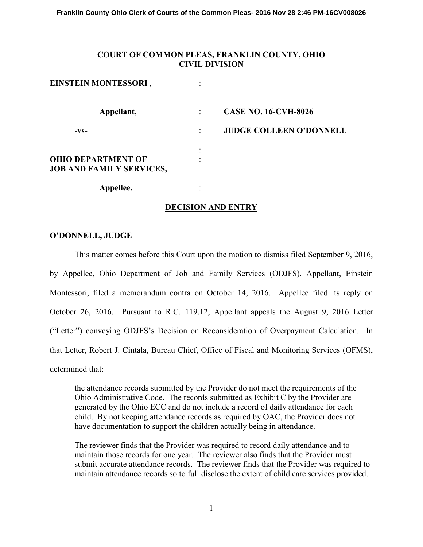**Franklin County Ohio Clerk of Courts of the Common Pleas- 2016 Nov 28 2:46 PM-16CV008026**

## **COURT OF COMMON PLEAS, FRANKLIN COUNTY, OHIO CIVIL DIVISION**

| EINSTEIN MONTESSORI,                                         |   |                                |
|--------------------------------------------------------------|---|--------------------------------|
| Appellant,                                                   |   | <b>CASE NO. 16-CVH-8026</b>    |
| $-VS-$                                                       |   | <b>JUDGE COLLEEN O'DONNELL</b> |
| <b>OHIO DEPARTMENT OF</b><br><b>JOB AND FAMILY SERVICES,</b> | ٠ |                                |
| Appellee.                                                    |   |                                |

# **DECISION AND ENTRY**

### **O'DONNELL, JUDGE**

This matter comes before this Court upon the motion to dismiss filed September 9, 2016, by Appellee, Ohio Department of Job and Family Services (ODJFS). Appellant, Einstein Montessori, filed a memorandum contra on October 14, 2016. Appellee filed its reply on October 26, 2016. Pursuant to R.C. 119.12, Appellant appeals the August 9, 2016 Letter ("Letter") conveying ODJFS's Decision on Reconsideration of Overpayment Calculation. In that Letter, Robert J. Cintala, Bureau Chief, Office of Fiscal and Monitoring Services (OFMS), determined that:

the attendance records submitted by the Provider do not meet the requirements of the Ohio Administrative Code. The records submitted as Exhibit C by the Provider are generated by the Ohio ECC and do not include a record of daily attendance for each child. By not keeping attendance records as required by OAC, the Provider does not have documentation to support the children actually being in attendance.

 The reviewer finds that the Provider was required to record daily attendance and to maintain those records for one year. The reviewer also finds that the Provider must submit accurate attendance records. The reviewer finds that the Provider was required to maintain attendance records so to full disclose the extent of child care services provided.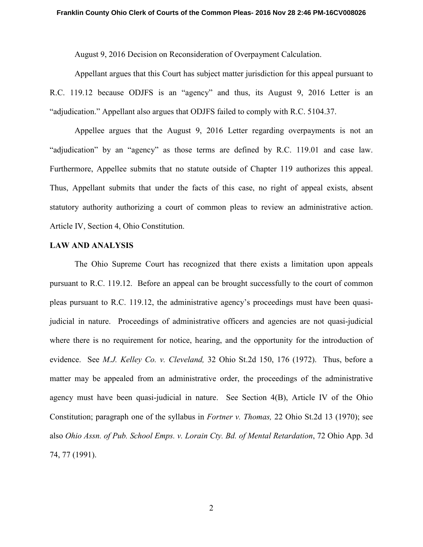August 9, 2016 Decision on Reconsideration of Overpayment Calculation.

Appellant argues that this Court has subject matter jurisdiction for this appeal pursuant to R.C. 119.12 because ODJFS is an "agency" and thus, its August 9, 2016 Letter is an "adjudication." Appellant also argues that ODJFS failed to comply with R.C. 5104.37.

Appellee argues that the August 9, 2016 Letter regarding overpayments is not an "adjudication" by an "agency" as those terms are defined by R.C. 119.01 and case law. Furthermore, Appellee submits that no statute outside of Chapter 119 authorizes this appeal. Thus, Appellant submits that under the facts of this case, no right of appeal exists, absent statutory authority authorizing a court of common pleas to review an administrative action. Article IV, Section 4, Ohio Constitution.

### **LAW AND ANALYSIS**

 The Ohio Supreme Court has recognized that there exists a limitation upon appeals pursuant to R.C. 119.12. Before an appeal can be brought successfully to the court of common pleas pursuant to R.C. 119.12, the administrative agency's proceedings must have been quasijudicial in nature. Proceedings of administrative officers and agencies are not quasi-judicial where there is no requirement for notice, hearing, and the opportunity for the introduction of evidence. See *M.J. Kelley Co. v. Cleveland,* 32 Ohio St.2d 150, 176 (1972). Thus, before a matter may be appealed from an administrative order, the proceedings of the administrative agency must have been quasi-judicial in nature. See Section 4(B), Article IV of the Ohio Constitution; paragraph one of the syllabus in *Fortner v. Thomas,* 22 Ohio St.2d 13 (1970); see also *Ohio Assn. of Pub. School Emps. v. Lorain Cty. Bd. of Mental Retardation*, 72 Ohio App. 3d 74, 77 (1991).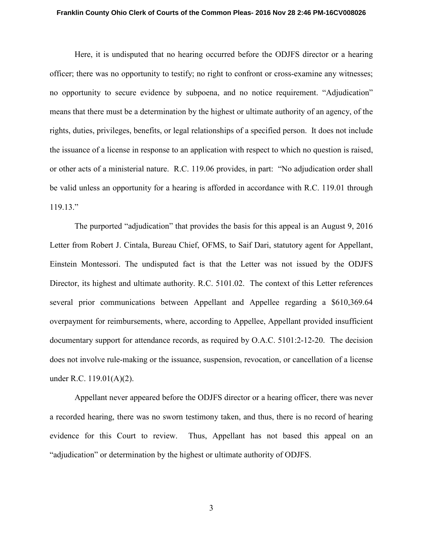#### **Franklin County Ohio Clerk of Courts of the Common Pleas- 2016 Nov 28 2:46 PM-16CV008026**

 Here, it is undisputed that no hearing occurred before the ODJFS director or a hearing officer; there was no opportunity to testify; no right to confront or cross-examine any witnesses; no opportunity to secure evidence by subpoena, and no notice requirement. "Adjudication" means that there must be a determination by the highest or ultimate authority of an agency, of the rights, duties, privileges, benefits, or legal relationships of a specified person. It does not include the issuance of a license in response to an application with respect to which no question is raised, or other acts of a ministerial nature. R.C. 119.06 provides, in part: "No adjudication order shall be valid unless an opportunity for a hearing is afforded in accordance with R.C. 119.01 through 119.13."

 The purported "adjudication" that provides the basis for this appeal is an August 9, 2016 Letter from Robert J. Cintala, Bureau Chief, OFMS, to Saif Dari, statutory agent for Appellant, Einstein Montessori. The undisputed fact is that the Letter was not issued by the ODJFS Director, its highest and ultimate authority. R.C. 5101.02. The context of this Letter references several prior communications between Appellant and Appellee regarding a \$610,369.64 overpayment for reimbursements, where, according to Appellee, Appellant provided insufficient documentary support for attendance records, as required by O.A.C. 5101:2-12-20. The decision does not involve rule-making or the issuance, suspension, revocation, or cancellation of a license under R.C. 119.01(A)(2).

 Appellant never appeared before the ODJFS director or a hearing officer, there was never a recorded hearing, there was no sworn testimony taken, and thus, there is no record of hearing evidence for this Court to review. Thus, Appellant has not based this appeal on an "adjudication" or determination by the highest or ultimate authority of ODJFS.

3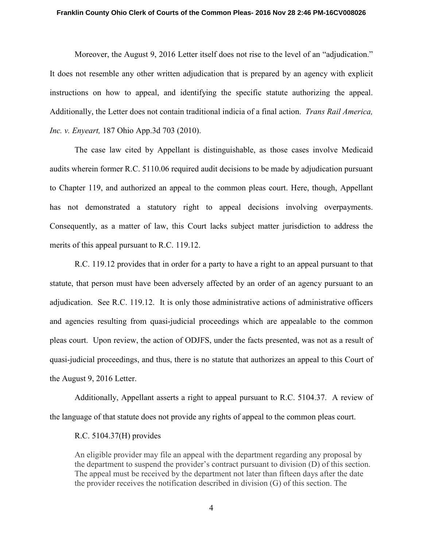#### **Franklin County Ohio Clerk of Courts of the Common Pleas- 2016 Nov 28 2:46 PM-16CV008026**

 Moreover, the August 9, 2016 Letter itself does not rise to the level of an "adjudication." It does not resemble any other written adjudication that is prepared by an agency with explicit instructions on how to appeal, and identifying the specific statute authorizing the appeal. Additionally, the Letter does not contain traditional indicia of a final action. *Trans Rail America, Inc. v. Enyeart,* 187 Ohio App.3d 703 (2010).

The case law cited by Appellant is distinguishable, as those cases involve Medicaid audits wherein former R.C. 5110.06 required audit decisions to be made by adjudication pursuant to Chapter 119, and authorized an appeal to the common pleas court. Here, though, Appellant has not demonstrated a statutory right to appeal decisions involving overpayments. Consequently, as a matter of law, this Court lacks subject matter jurisdiction to address the merits of this appeal pursuant to R.C. 119.12.

R.C. 119.12 provides that in order for a party to have a right to an appeal pursuant to that statute, that person must have been adversely affected by an order of an agency pursuant to an adjudication. See R.C. 119.12. It is only those administrative actions of administrative officers and agencies resulting from quasi-judicial proceedings which are appealable to the common pleas court. Upon review, the action of ODJFS, under the facts presented, was not as a result of quasi-judicial proceedings, and thus, there is no statute that authorizes an appeal to this Court of the August 9, 2016 Letter.

Additionally, Appellant asserts a right to appeal pursuant to R.C. 5104.37. A review of the language of that statute does not provide any rights of appeal to the common pleas court.

### R.C. 5104.37(H) provides

An eligible provider may file an appeal with the department regarding any proposal by the department to suspend the provider's contract pursuant to division (D) of this section. The appeal must be received by the department not later than fifteen days after the date the provider receives the notification described in division (G) of this section. The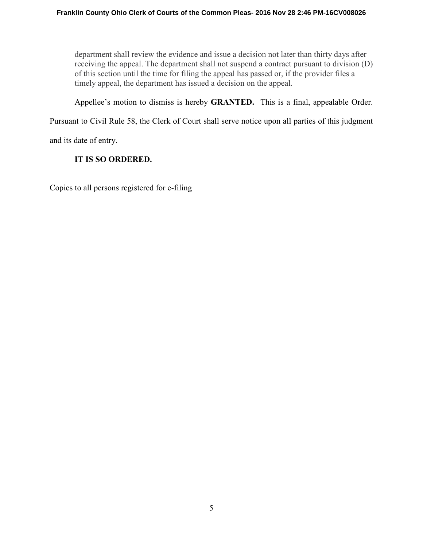department shall review the evidence and issue a decision not later than thirty days after receiving the appeal. The department shall not suspend a contract pursuant to division (D) of this section until the time for filing the appeal has passed or, if the provider files a timely appeal, the department has issued a decision on the appeal.

Appellee's motion to dismiss is hereby **GRANTED.** This is a final, appealable Order.

Pursuant to Civil Rule 58, the Clerk of Court shall serve notice upon all parties of this judgment

and its date of entry.

# **IT IS SO ORDERED.**

Copies to all persons registered for e-filing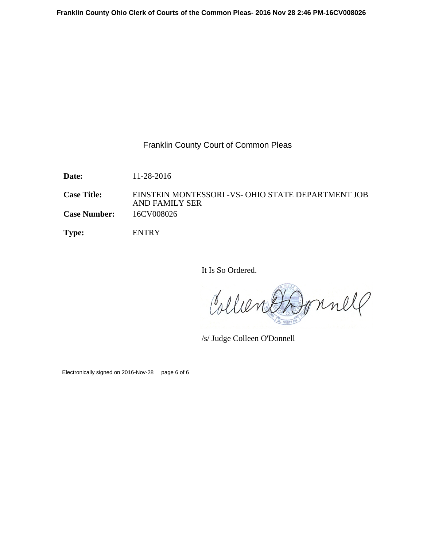# Franklin County Court of Common Pleas

**Date:** 11-28-2016

**Case Title:** EINSTEIN MONTESSORI -VS- OHIO STATE DEPARTMENT JOB AND FAMILY SER **Case Number:** 16CV008026

**Type:** ENTRY

It Is So Ordered.

Collier Jonnell

/s/ Judge Colleen O'Donnell

Electronically signed on 2016-Nov-28 page 6 of 6